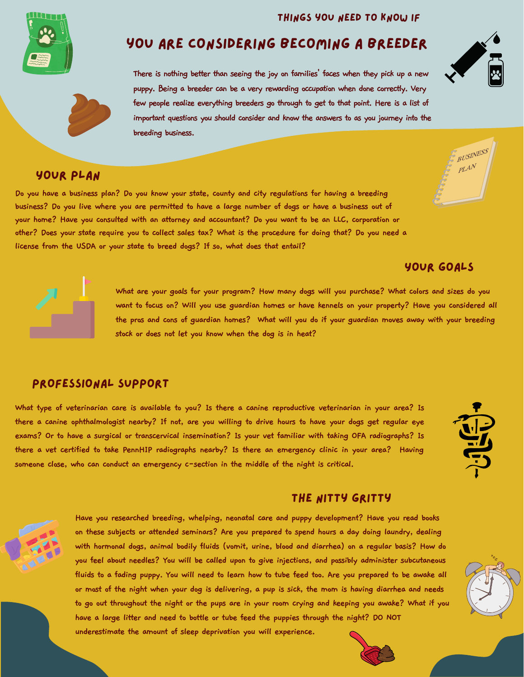#### Things you need to know if



# you are considering becoming a breeder

**There is nothing better than seeing the joy on families' faces when they pick up a new puppy. Being a breeder can be a very rewarding occupation when done correctly. Very few people realize everything breeders go through to get to that point. Here is a list of important questions you should consider and know the answers to as you journey into the breeding business.**

## Your Plan

Do you have a business plan? Do you know your state, county and city regulations for having a breeding business? Do you live where you are permitted to have a large number of dogs or have a business out of your home? Have you consulted with an attorney and accountant? Do you want to be an LLC, corporation or other? Does your state require you to collect sales tax? What is the procedure for doing that? Do you need a **license from the USDA or your state to breed dogs? If so, what does that entail?**

## Your goals



What are your goals for your program? How many dogs will you purchase? What colors and sizes do you want to focus on? Will you use guardian homes or have kennels on your property? Have you considered all the pros and cons of guardian homes? What will you do if your guardian moves away with your breeding **stock or does not let you know when the dog is in heat?**

#### Professional Support

What type of veterinarian care is available to you? Is there a canine reproductive veterinarian in your area? Is there a canine ophthalmologist nearby? If not, are you willing to drive hours to have your dogs get regular eye exams? Or to have a surgical or transcervical insemination? Is your vet familiar with taking OFA radiographs? Is there a vet certified to take PennHIP radiographs nearby? Is there an emergency clinic in your area? Having **someone close, who can conduct an emergency c-section in the middle of the night is critical.**



#### THE NITTY GRITTY



**Have you researched breeding, whelping, neonatal care and puppy development? Have you read books on these subjects or attended seminars? Are you prepared to spend hours a day doing laundry, dealing with hormonal dogs, animal bodily fluids (vomit, urine, blood and diarrhea) on a regular basis? How do you feel about needles? You will be called upon to give injections, and possibly administer subcutaneous** fluids to a fading puppy. You will need to learn how to tube feed too. Are you prepared to be awake all or most of the night when your dog is delivering, a pup is sick, the mom is having diarrhea and needs to go out throughout the night or the pups are in your room crying and keeping you awake? What if you **have a large litter and need to bottle or tube feed the puppies through the night? DO NOT**

**underestimate the amount of sleep deprivation you will experience.**





BUSINESS  $PL^{AN}$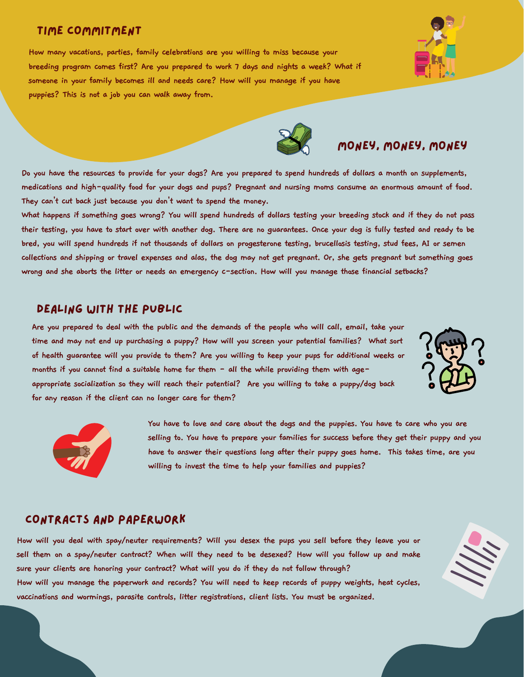### time commitment

**How many vacations, parties, family celebrations are you willing to miss because your breeding program comes first? Are you prepared to work 7 days and nights a week? What if someone in your family becomes ill and needs care? How will you manage if you have puppies? This is not a job you can walk away from.**

Do you have the resources to provide for your dogs? Are you prepared to spend hundreds of dollars a month on supplements, medications and high-quality food for your dogs and pups? Pregnant and nursing moms consume an enormous amount of food. **They can't cut back just because you don't want to spend the money.**

What happens if something goes wrong? You will spend hundreds of dollars testing your breeding stock and if they do not pass their testing, you have to start over with another dog. There are no guarantees. Once your dog is fully tested and ready to be bred, you will spend hundreds if not thousands of dollars on progesterone testing, brucellosis testing, stud fees, AI or semen collections and shipping or travel expenses and alas, the dog may not get pregnant. Or, she gets pregnant but something goes wrong and she aborts the litter or needs an emergency c-section. How will you manage those financial setbacks?

#### Dealing with the public

Are you prepared to deal with the public and the demands of the people who will call, email, take your **time and may not end up purchasing a puppy? How will you screen your potential families? What sort** of health guarantee will you provide to them? Are you willing to keep your pups for additional weeks or **months if you cannot find a suitable home for them - all the while providing them with age-**

**appropriate socialization so they will reach their potential? Are you willing to take a puppy/dog back for any reason if the client can no longer care for them?**

> **You have to love and care about the dogs and the puppies. You have to care who you are selling to. You have to prepare your families for success before they get their puppy and you have to answer their questions long after their puppy goes home. This takes time, are you willing to invest the time to help your families and puppies?**

### contracts and paperwork

How will you deal with spay/neuter requirements? Will you desex the pups you sell before they leave you or sell them on a spay/neuter contract? When will they need to be desexed? How will you follow up and make **sure your clients are honoring your contract? What will you do if they do not follow through?** How will you manage the paperwork and records? You will need to keep records of puppy weights, heat cycles, **vaccinations and wormings, parasite controls, litter registrations, client lists. You must be organized.**







Money, money, money